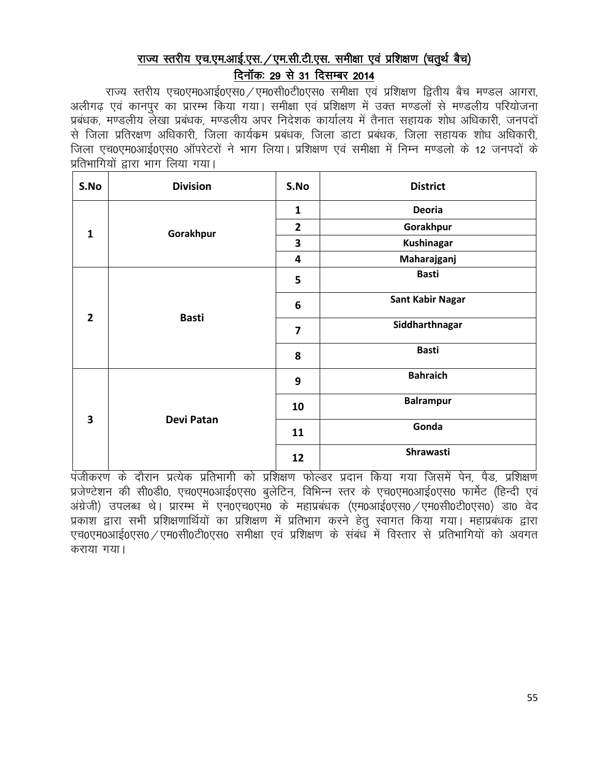# राज्य स्तरीय एच.एम.आई.एस. /एम.सी.टी.एस. समीक्षा एवं प्रशिक्षण (चतूर्थ बैच) दिनॉक: 29 से 31 दिसम्बर 2014

राज्य स्तरीय एच0एम0आई0एस0 / एम0सी0टी0एस0 समीक्षा एवं प्रशिक्षण द्वितीय बैच मण्डल आगरा, अलीगढ एवं कानपुर का प्रारम्भ किया गया। समीक्षा एवं प्रशिक्षण में उक्त मण्डलों से मण्डलीय परियोजना प्रबंधक, मण्डलीय लेखा प्रबंधक, मण्डलीय अपर निदेशक कार्यालय में तैनात सहायक शोध अधिकारी, जनपदों से जिला प्रतिरक्षण अधिकारी, जिला कार्यक्रम प्रबंधक, जिला डाटा प्रबंधक, जिला सहायक शोध अधिकारी, जिला एच0एम0आई0एस0 ऑपरेटरों ने भाग लिया। प्रशिक्षण एवं समीक्षा में निम्न मण्डलो के 12 जनपदों के प्रतिभागियों द्वारा भाग लिया गया।

| S.No                    | <b>Division</b> | S.No                    | <b>District</b>         |
|-------------------------|-----------------|-------------------------|-------------------------|
|                         |                 | $\mathbf{1}$            | Deoria                  |
| $\mathbf{1}$            | Gorakhpur       | $\overline{\mathbf{2}}$ | Gorakhpur               |
|                         |                 | 3                       | <b>Kushinagar</b>       |
|                         |                 | 4                       | Maharajganj             |
|                         |                 | 5                       | <b>Basti</b>            |
| $\overline{2}$          | <b>Basti</b>    | 6                       | <b>Sant Kabir Nagar</b> |
|                         |                 | 7                       | Siddharthnagar          |
|                         |                 | 8                       | <b>Basti</b>            |
| $\overline{\mathbf{3}}$ |                 | 9                       | <b>Bahraich</b>         |
|                         | Devi Patan      | 10                      | <b>Balrampur</b>        |
|                         |                 | 11                      | Gonda                   |
|                         |                 | 12                      | Shrawasti               |

.<br>पंजीकरण के दौरान प्रत्येक प्रतिभागी को प्रशिक्षण फोल्डर प्रदान किया गया जिसमें पेन, पैड, प्रशिक्षण प्रजेण्टेशन की सी0डी0, एच0एम0आई0एस0 बुलेटिन, विभिन्न स्तर के एच0एम0आई0एस0 फार्मेट (हिन्दी एवं अंग्रेजी) उपलब्ध थे। प्रारम्भ में एन0एच0एम0 के महाप्रबंधक (एम0आई0एस0 /एम0सी0टी0एस0) डा0 वेद प्रकाश द्वारा सभी प्रशिक्षणार्थियों का प्रशिक्षण में प्रतिभाग करने हेतू स्वागत किया गया। महाप्रबंधक द्वारा एच0एम0आई0एस0 ⁄एम0सी0टी0एस0 समीक्षा एवं प्रशिक्षण के संबंध में विस्तार से प्रतिभागियों को अवगत कराया गया।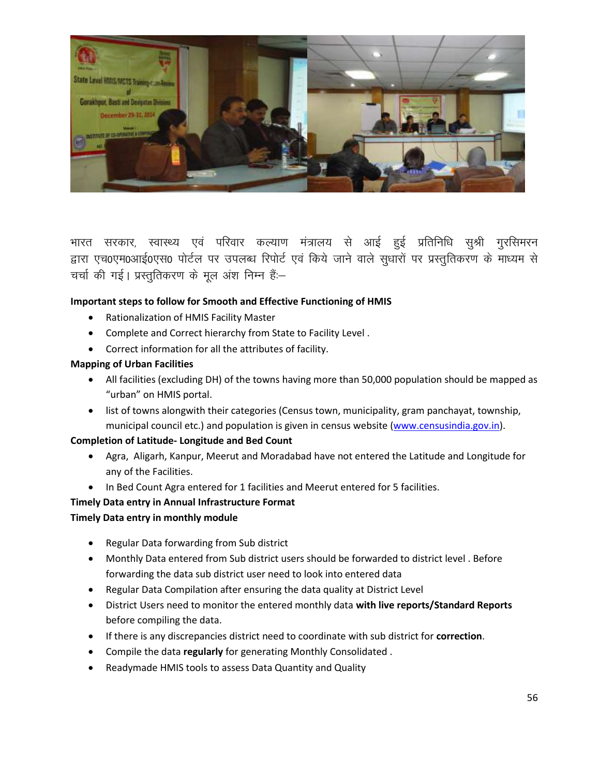

भारत सरकार, स्वास्थ्य एवं परिवार कल्याण मंत्रालय से आई हुई प्रतिनिधि सुश्री गुरसिमरन द्वारा एच0एम0आई0एस0 पोर्टल पर उपलब्ध रिपोर्ट एवं किये जाने वाले सुधारों पर प्रस्तुतिकरण के माध्यम से चर्चा की गई। प्रस्तुतिकरण के मूल अंश निम्न हैं:-

## **Important steps to follow for Smooth and Effective Functioning of HMIS**

- Rationalization of HMIS Facility Master
- Complete and Correct hierarchy from State to Facility Level .
- Correct information for all the attributes of facility.

## **Mapping of Urban Facilities**

- All facilities (excluding DH) of the towns having more than 50,000 population should be mapped as "urban" on HMIS portal.
- list of towns alongwith their categories (Census town, municipality, gram panchayat, township, municipal council etc.) and population is given in census website [\(www.censusindia.gov.in\)](http://www.censusindia.gov.in/).

## **Completion of Latitude- Longitude and Bed Count**

- Agra, Aligarh, Kanpur, Meerut and Moradabad have not entered the Latitude and Longitude for any of the Facilities.
- In Bed Count Agra entered for 1 facilities and Meerut entered for 5 facilities.

## **Timely Data entry in Annual Infrastructure Format**

## **Timely Data entry in monthly module**

- Regular Data forwarding from Sub district
- Monthly Data entered from Sub district users should be forwarded to district level . Before forwarding the data sub district user need to look into entered data
- Regular Data Compilation after ensuring the data quality at District Level
- District Users need to monitor the entered monthly data **with live reports/Standard Reports** before compiling the data.
- If there is any discrepancies district need to coordinate with sub district for **correction**.
- Compile the data **regularly** for generating Monthly Consolidated .
- Readymade HMIS tools to assess Data Quantity and Quality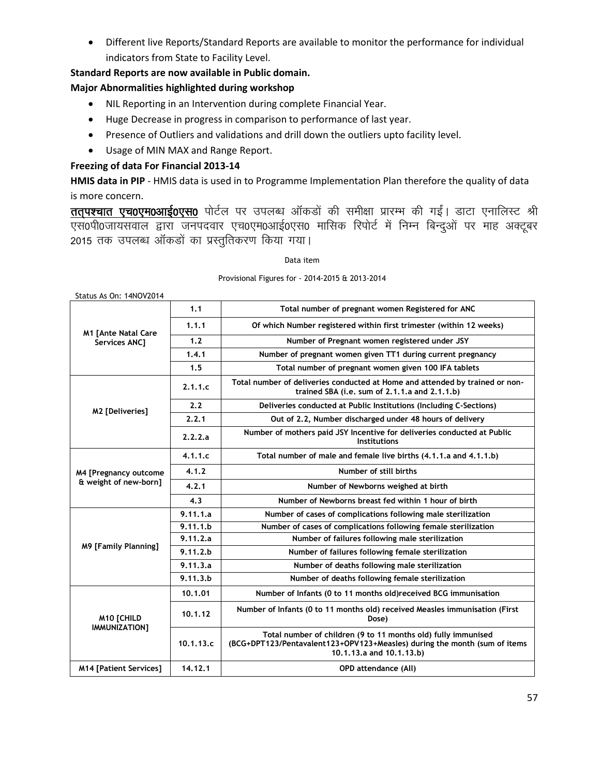Different live Reports/Standard Reports are available to monitor the performance for individual indicators from State to Facility Level.

### **Standard Reports are now available in Public domain.**

### **Major Abnormalities highlighted during workshop**

- NIL Reporting in an Intervention during complete Financial Year.
- Huge Decrease in progress in comparison to performance of last year.
- Presence of Outliers and validations and drill down the outliers upto facility level.
- Usage of MIN MAX and Range Report.

### **Freezing of data For Financial 2013-14**

**HMIS data in PIP** - HMIS data is used in to Programme Implementation Plan therefore the quality of data is more concern.

ततपश्चात एच0एम0आई0एस0 पोर्टल पर उपलब्ध ऑकडों की समीक्षा प्रारम्भ की गईं। डाटा एनालिस्ट श्री ,l0ih0tk;loky }kjk tuinokj ,p0,e0vkbZ0,l0 ekfld fjiksV Z esa fuEu fcUnqvksa ij ekg vDVwcj 2015 तक उपलब्ध ऑकडों का प्रस्तुतिकरण किया गया।

#### Data item

#### Provisional Figures for - 2014-2015 & 2013-2014

| Status As On: 14NOV2014       |           |                                                                                                                                                                        |
|-------------------------------|-----------|------------------------------------------------------------------------------------------------------------------------------------------------------------------------|
|                               | 1.1       | Total number of pregnant women Registered for ANC                                                                                                                      |
| <b>M1 [Ante Natal Care</b>    | 1.1.1     | Of which Number registered within first trimester (within 12 weeks)                                                                                                    |
| <b>Services ANC1</b>          | 1.2       | Number of Pregnant women registered under JSY                                                                                                                          |
|                               | 1.4.1     | Number of pregnant women given TT1 during current pregnancy                                                                                                            |
|                               | 1.5       | Total number of pregnant women given 100 IFA tablets                                                                                                                   |
|                               | 2.1.1.c   | Total number of deliveries conducted at Home and attended by trained or non-<br>trained SBA (i.e. sum of 2.1.1.a and 2.1.1.b)                                          |
| M2 [Deliveries]               | 2.2       | Deliveries conducted at Public Institutions (Including C-Sections)                                                                                                     |
|                               | 2.2.1     | Out of 2.2, Number discharged under 48 hours of delivery                                                                                                               |
|                               | 2.2.2.a   | Number of mothers paid JSY Incentive for deliveries conducted at Public<br><b>Institutions</b>                                                                         |
|                               | 4.1.1.c   | Total number of male and female live births (4.1.1.a and 4.1.1.b)                                                                                                      |
| M4 [Pregnancy outcome         | 4.1.2     | Number of still births                                                                                                                                                 |
| & weight of new-born]         | 4.2.1     | Number of Newborns weighed at birth                                                                                                                                    |
|                               | 4.3       | Number of Newborns breast fed within 1 hour of birth                                                                                                                   |
|                               | 9.11.1.a  | Number of cases of complications following male sterilization                                                                                                          |
|                               | 9.11.1.b  | Number of cases of complications following female sterilization                                                                                                        |
|                               | 9.11.2.a  | Number of failures following male sterilization                                                                                                                        |
| <b>M9 [Family Planning]</b>   | 9.11.2.b  | Number of failures following female sterilization                                                                                                                      |
|                               | 9.11.3.a  | Number of deaths following male sterilization                                                                                                                          |
|                               | 9.11.3.b  | Number of deaths following female sterilization                                                                                                                        |
|                               | 10.1.01   | Number of Infants (0 to 11 months old)received BCG immunisation                                                                                                        |
| <b>M10 [CHILD</b>             | 10.1.12   | Number of Infants (0 to 11 months old) received Measles immunisation (First<br>Dose)                                                                                   |
| IMMUNIZATION1                 | 10.1.13.c | Total number of children (9 to 11 months old) fully immunised<br>(BCG+DPT123/Pentavalent123+OPV123+Measles) during the month (sum of items<br>10.1.13.a and 10.1.13.b) |
| <b>M14 [Patient Services]</b> | 14.12.1   | <b>OPD</b> attendance (All)                                                                                                                                            |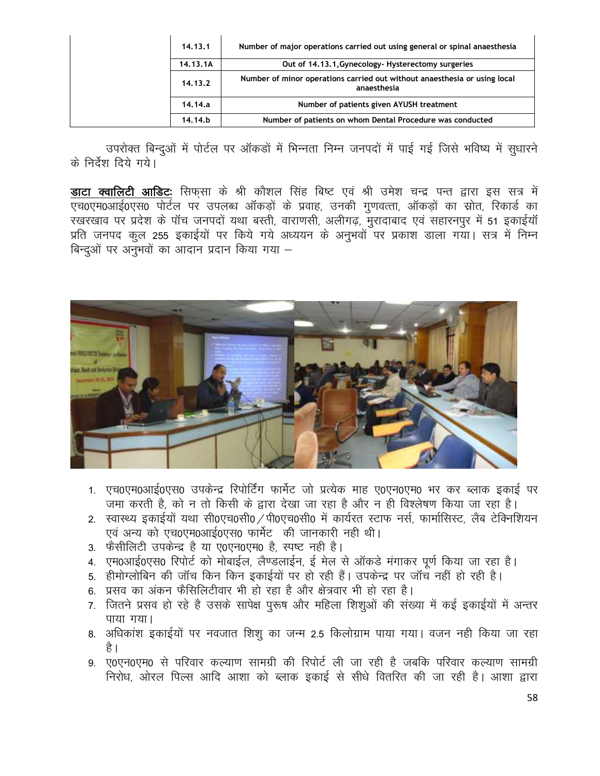| 14.13.1  | Number of major operations carried out using general or spinal anaesthesia               |
|----------|------------------------------------------------------------------------------------------|
| 14.13.1A | Out of 14,13,1, Gynecology-Hysterectomy surgeries                                        |
| 14.13.2  | Number of minor operations carried out without anaesthesia or using local<br>anaesthesia |
| 14.14.a  | Number of patients given AYUSH treatment                                                 |
| 14.14.b  | Number of patients on whom Dental Procedure was conducted                                |

उपरोक्त बिन्दुओं में पोर्टल पर ऑकड़ों में भिन्नता निम्न जनपदों में पाई गई जिसे भविष्य में सुधारने के निर्देश दिये गये।

**डाटा क्वालिटी आडिटः** सिफसा के श्री कौशल सिंह बिष्ट एवं श्री उमेश चन्द्र पन्त द्वारा इस सत्र में एच0एम0आई0एस0 पोर्टल पर उपलब्ध ऑकड़ों के प्रवाह, उनकी गुणवत्ता, ऑकड़ों का स्रोत, रिकार्ड का रखरखाव पर प्रदेश के पॉच जनपदों यथा बस्ती, वाराणसी, अलीगढ़, मुरादाबाद एवं सहारनपुर में 51 इकाईयॉ ,<br>प्रति जनपद कल 255 इकाईयों पर किये गये अध्ययन के अनुभवों पर प्रकाश डाला गया। सत्र में निम्न बिन्दुओं पर अनुभवों का आदान प्रदान किया गया –



- 1. एच0एम0आई0एस0 उपकेन्द्र रिपोर्टिंग फार्मेट जो प्रत्येक माह ए0एन0एम0 भर कर ब्लाक इकाई पर जमा करती है, को न तो किसी के द्वारा देखा जा रहा है और न ही विश्लेषण किया जा रहा है।
- 2. स्वास्थ्य इकाईयों यथा सी0एच0सी0 / पी0एच0सी0 में कार्यरत स्टाफ नर्स, फार्मासिस्ट, लैब टेक्निशियन एवं अन्य को एच0एम0आई0एस0 फार्मेट की जानकारी नही थी।
- 3. फैसीलिटी उपकेन्द्र है या ए0एन0एम0 है, स्पष्ट नही है।
- 4. एम0आई0एस0 रिपोर्ट को मोबाईल, लैण्डलाईन, ई मेल से ऑकडे मंगाकर पूर्ण किया जा रहा है।
- 5. हीमोग्लोबिन की जॉच किन किन इकाईयों पर हो रही हैं। उपकेन्द्र पर जॉच नहीं हो रही है।
- 6. प्रसव का अंकन फैसिलिटीवार भी हो रहा है और क्षेत्रवार भी हो रहा है।
- 7. जितने प्रसव हो रहे है उसके सापेक्ष पुरूष और महिला शिशुओं की संख्या में कई इकाईयों में अन्तर पाया गया।
- 8. अधिकांश इकाईयों पर नवजात शिशू का जन्म 2.5 किलोग्राम पाया गया। वजन नही किया जा रहा है ।
- 9. ए0एन0एम0 से परिवार कल्याण सामग्री की रिपोर्ट ली जा रही है जबकि परिवार कल्याण सामग्री निरोध, ओरल पिल्स आदि आशा को ब्लाक इकाई से सीधे वितरित की जा रही है। आशा द्वारा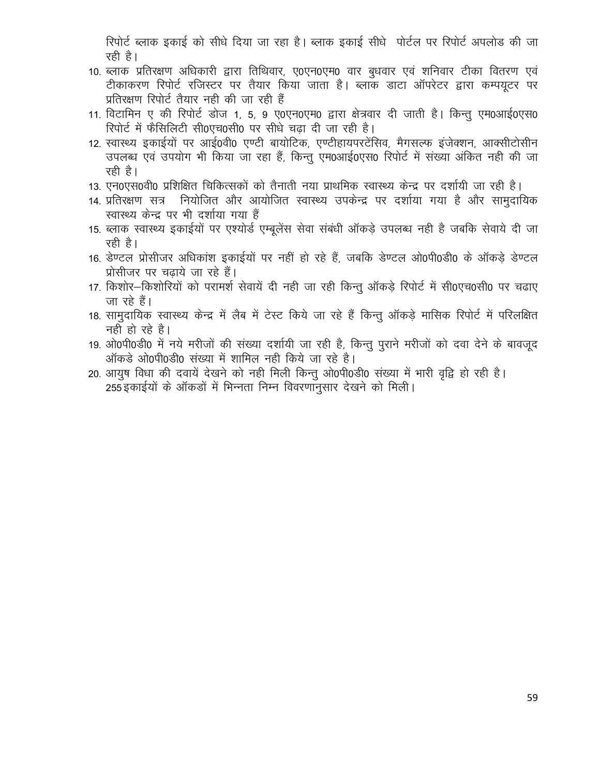रिपोर्ट ब्लाक इकाई को सीधे दिया जा रहा है। ब्लाक इकाई सीधे पोर्टल पर रिपोर्ट अपलोड की जा रही है।

- 10. ब्लाक प्रतिरक्षण अधिकारी द्वारा तिथिवार, ए0एन0एम0 वार बुधवार एवं शनिवार टीका वितरण एवं टीकाकरण रिपोर्ट रजिस्टर पर तैयार किया जाता है। ब्लाक डाटा ऑपरेटर द्वारा कम्पयूटर पर प्रतिरक्षण रिपोर्ट तैयार नही की जा रही हैं
- 11. विटामिन ए की रिपोर्ट डोज 1, 5, 9 ए0एन0एम0 द्वारा क्षेत्रवार दी जाती है। किन्तु एम0आई0एस0 रिपोर्ट में फैसिलिटी सी0एच0सी0 पर सीधे चढा दी जा रही है।
- 12. स्वास्थ्य इकाईयों पर आई0वी0 एण्टी बायोटिक, एण्टीहायपरटेंसिव, मैगसल्फ इंजेक्शन, आक्सीटोसीन उपलब्ध एवं उपयोग भी किया जा रहा हैं, किन्तु एम0आई0एस0 रिपोर्ट में संख्या अंकित नही की जा रही है।
- 13. एन0एस0वी0 प्रशिक्षित चिकित्सकों को तैनाती नया प्राथमिक स्वास्थ्य केन्द्र पर दर्शायी जा रही है।
- 14. प्रतिरक्षण सत्र नियोजित और आयोजित स्वास्थ्य उपकेन्द्र पर दर्शाया गया है और सामुदायिक स्वास्थ्य केन्द्र पर भी दर्शाया गया हैं
- 15. ब्लाक स्वास्थ्य इकाईयों पर एश्योर्ड एम्बुलेंस सेवा संबंधी ऑकडे उपलब्ध नही है जबकि सेवाये दी जा रही है।
- 16. डेण्टल प्रोसीजर अधिकांश इकाईयों पर नहीं हो रहे हैं, जबकि डेण्टल ओ0पी0डी0 के ऑकड़े डेण्टल प्रोसीजर पर चढाये जा रहे हैं।
- 17. किशोर-किशोरियों को परामर्श सेवायें दी नही जा रही किन्तू ऑकड़े रिपोर्ट में सी0एच0सी0 पर चढाए जा रहे हैं।
- 18. सामुदायिक स्वास्थ्य केन्द्र में लैब में टेस्ट किये जा रहे हैं किन्तु ऑकड़े मासिक रिपोर्ट में परिलक्षित नही हो रहे है।
- 19. ओ0पी0डी0 में नये मरीजों की संख्या दर्शायी जा रही है, किन्तू पुराने मरीजों को दवा देने के बावजूद ऑकडे ओ0पी0डी0 संख्या में शामिल नही किये जा रहे है।
- 20. आयुष विधा की दवायें देखने को नही मिली किन्तू ओ0पी0डी0 संख्या में भारी वृद्वि हो रही है। 255 इकाईयों के ऑकड़ों में भिन्नता निम्न विवरणानुसार देखने को मिली।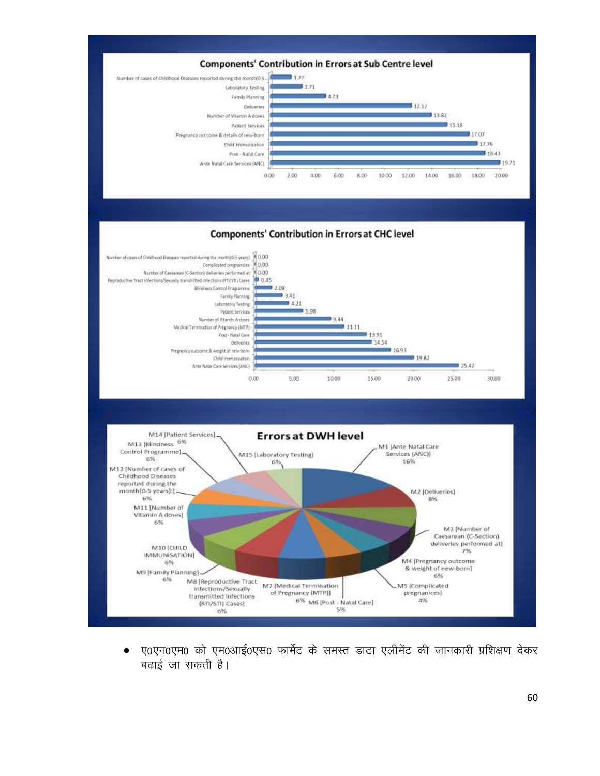

ए0एन0एम0 को एम0आई0एस0 फार्मेट के समस्त डाटा एलीमेंट की जानकारी प्रशिक्षण देकर  $\bullet$ बढाई जा सकती है।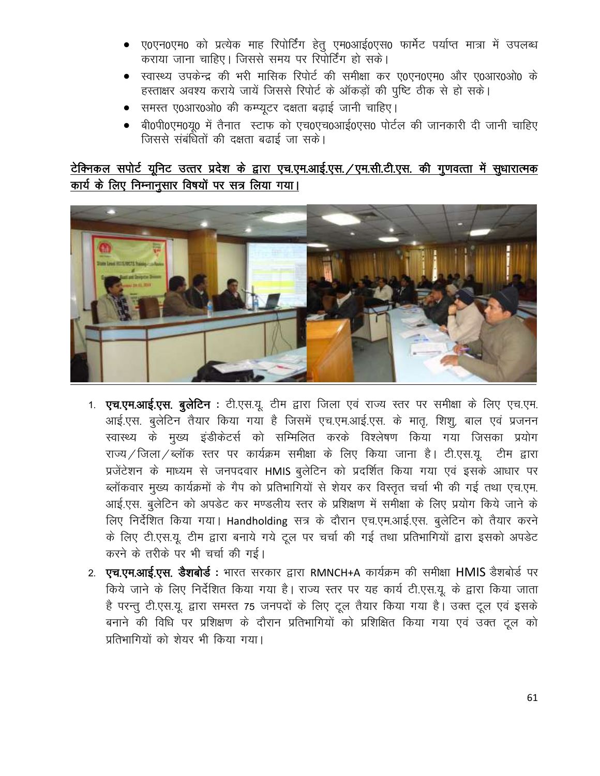- ए0एन0एम0 को प्रत्येक माह रिपोर्टिंग हेतु एम0आई0एस0 फार्मेट पर्याप्त मात्रा में उपलब्ध कराया जाना चाहिए। जिससे समय पर रिपोर्टिंग हो सके।
- स्वास्थ्य उपकेन्द्र की भरी मासिक रिपोर्ट की समीक्षा कर ए0एन0एम0 और ए0आर0ओ0 के हस्ताक्षर अवश्य कराये जायें जिससे रिपोर्ट के ऑकड़ों की पुष्टि ठीक से हो सके।
- समस्त ए0आर0ओ0 की कम्प्यूटर दक्षता बढ़ाई जानी चाहिए।
- बी0पी0एम0य0 में तैनात स्टाफ को एच0एच0आई0एस0 पोर्टल की जानकारी दी जानी चाहिए जिससे संबंधितों की दक्षता बढाई जा सके।

# टेक्निकल सपोर्ट यूनिट उत्तर प्रदेश के द्वारा एच.एम.आई.एस. /एम.सी.टी.एस. की गुणवत्ता में सुधारात्मक कार्य के लिए निम्नानूसार विषयों पर सत्र लिया गया।



- 1. एच.एम.आई.एस. बुलेटिन : टी.एस.यू. टीम द्वारा जिला एवं राज्य स्तर पर समीक्षा के लिए एच.एम. आई.एस. बुलेटिन तैयार किया गया है जिसमें एच.एम.आई.एस. के मातू, शिशू, बाल एवं प्रजनन स्वास्थ्य के मुख्य इंडीकेटर्स को सम्मिलित करके विश्लेषण किया गया जिसका प्रयोग राज्य / जिला / ब्लॉक स्तर पर कार्यक्रम समीक्षा के लिए किया जाना है। टी.एस.यू. टीम द्वारा प्रजेंटेशन के माध्यम से जनपदवार HMIS बुलेटिन को प्रदर्शित किया गया एवं इसके आधार पर ब्लॉकवार मुख्य कार्यक्रमों के गैप को प्रतिभागियों से शेयर कर विस्तृत चर्चा भी की गई तथा एच.एम. आई.एस. बुलेटिन को अपडेट कर मण्डलीय स्तर के प्रशिक्षण में समीक्षा के लिए प्रयोग किये जाने के लिए निर्देशित किया गया। Handholding सत्र के दौरान एच.एम.आई.एस. बुलेटिन को तैयार करने के लिए टी.एस.यू. टीम द्वारा बनाये गये टूल पर चर्चा की गई तथा प्रतिभागियों द्वारा इसको अपडेट करने के तरीके पर भी चर्चा की गई।
- 2. एच.एम.आई.एस. डैशबोर्ड : भारत सरकार द्वारा RMNCH+A कार्यक्रम की समीक्षा HMIS डैशबोर्ड पर किये जाने के लिए निर्देशित किया गया है। राज्य स्तर पर यह कार्य टी.एस.यू. के द्वारा किया जाता है परन्तु टी.एस.यू. द्वारा समस्त 75 जनपदों के लिए टूल तैयार किया गया है। उक्त टूल एवं इसके बनाने की विधि पर प्रशिक्षण के दौरान प्रतिभागियों को प्रशिक्षित किया गया एवं उक्त टूल को प्रतिभागियों को शेयर भी किया गया।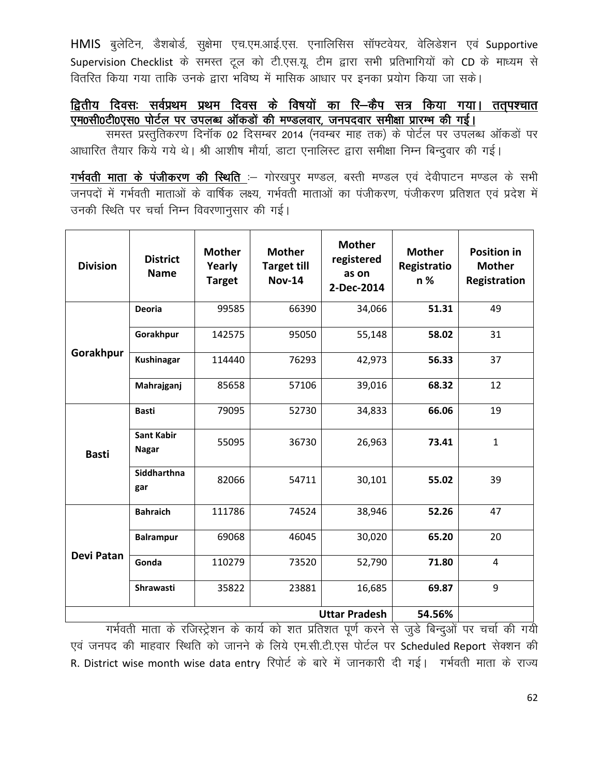HMIS बुलेटिन, डैशबोर्ड, सुक्षेमा एच.एम.आई.एस. एनालिसिस सॉफ्टवेयर, वेलिडेशन एवं Supportive Supervision Checklist के समस्त टूल को टी.एस.यू. टीम द्वारा सभी प्रतिभागियों को CD के माध्यम से वितरित किया गया ताकि उनके द्वारा भविष्य में मासिक आधार पर इनका प्रयोग किया जा सके।

# द्वितीय दिवसः सर्वप्रथम प्रथम दिवस के विषयों का रि–कैप सत्र किया गया। ततपश्चात एम0सी0टी0एस0 पोर्टल पर उपलब्ध ऑकड़ों की मण्डलवार, जनपदवार समीक्षा प्रारम्भ की गई।

समस्त प्रस्तुतिकरण दिनॉक 02 दिसम्बर 2014 (नवम्बर माह तक) के पोर्टल पर उपलब्ध ऑकडों पर आधारित तैयार किये गये थे। श्री आशीष मौर्या, डाटा एनालिस्ट द्वारा समीक्षा निम्न बिन्दुवार की गई।

गर्भवती माता के पंजीकरण की स्थिति :- गोरखपुर मण्डल, बस्ती मण्डल एवं देवीपाटन मण्डल के सभी जनपदों में गर्भवती माताओं के वार्षिक लक्ष्य, गर्भवती माताओं का पंजीकरण, पंजीकरण प्रतिशत एवं प्रदेश में उनकी स्थिति पर चर्चा निम्न विवरणानुसार की गई।

| <b>Division</b>   | <b>District</b><br><b>Name</b>    | <b>Mother</b><br>Yearly<br><b>Target</b> | <b>Mother</b><br><b>Target till</b><br><b>Nov-14</b> | <b>Mother</b><br>registered<br>as on<br>2-Dec-2014 | <b>Mother</b><br>Registratio<br>n % | <b>Position in</b><br><b>Mother</b><br>Registration |
|-------------------|-----------------------------------|------------------------------------------|------------------------------------------------------|----------------------------------------------------|-------------------------------------|-----------------------------------------------------|
|                   | <b>Deoria</b>                     | 99585                                    | 66390                                                | 34,066                                             | 51.31                               | 49                                                  |
|                   | Gorakhpur                         | 142575                                   | 95050                                                | 55,148                                             | 58.02                               | 31                                                  |
| Gorakhpur         | <b>Kushinagar</b>                 | 114440                                   | 76293                                                | 42,973                                             | 56.33                               | 37                                                  |
|                   | Mahrajganj                        | 85658                                    | 57106                                                | 39,016                                             | 68.32                               | 12                                                  |
| <b>Basti</b>      | <b>Basti</b>                      | 79095                                    | 52730                                                | 34,833                                             | 66.06                               | 19                                                  |
|                   | <b>Sant Kabir</b><br><b>Nagar</b> | 55095                                    | 36730                                                | 26,963                                             | 73.41                               | $\mathbf{1}$                                        |
|                   | <b>Siddharthna</b><br>gar         | 82066                                    | 54711                                                | 30,101                                             | 55.02                               | 39                                                  |
|                   | <b>Bahraich</b>                   | 111786                                   | 74524                                                | 38,946                                             | 52.26                               | 47                                                  |
|                   | <b>Balrampur</b>                  | 69068                                    | 46045                                                | 30,020                                             | 65.20                               | 20                                                  |
| <b>Devi Patan</b> | Gonda                             | 110279                                   | 73520                                                | 52,790                                             | 71.80                               | 4                                                   |
|                   | <b>Shrawasti</b>                  | 35822                                    | 23881                                                | 16,685                                             | 69.87                               | 9                                                   |
|                   |                                   | 54.56%                                   |                                                      |                                                    |                                     |                                                     |

गर्भवती माता के रजिस्ट्रेशन के कार्य को शत प्रतिशत पूर्ण करने से जुडे बिन्दुओं पर चर्चा की गयी एवं जनपद की माहवार स्थिति को जानने के लिये एम.सी.टी.एस पोर्टल पर Scheduled Report सेक्शन की R. District wise month wise data entry रिपोर्ट के बारे में जानकारी दी गई। गर्भवती माता के राज्य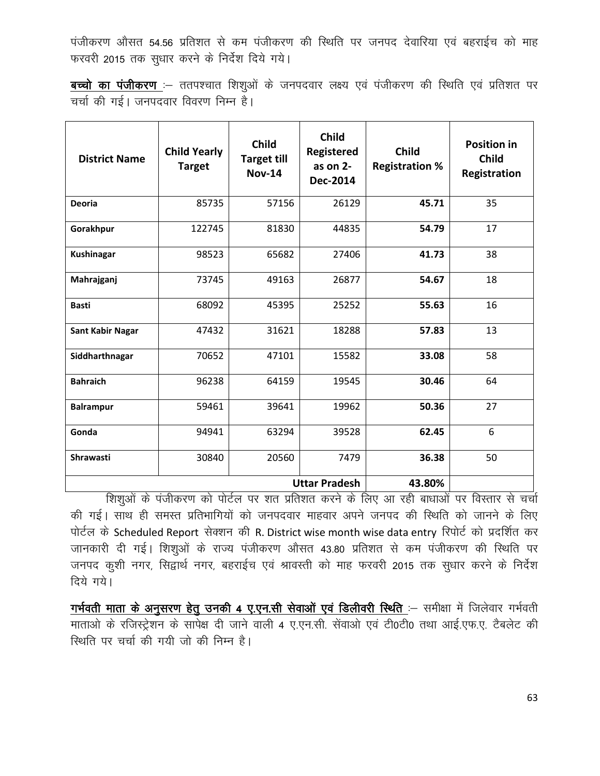पंजीकरण औसत 54.56 प्रतिशत से कम पंजीकरण की स्थिति पर जनपद देवारिया एवं बहराईच को माह फरवरी 2015 तक सुधार करने के निर्देश दिये गये।

बच्चो का पंजीकरण :- ततपश्चात शिशुओं के जनपदवार लक्ष्य एवं पंजीकरण की स्थिति एवं प्रतिशत पर चर्चा की गई। जनपदवार विवरण निम्न है।

| <b>District Name</b>    | <b>Child Yearly</b><br><b>Target</b> | <b>Child</b><br><b>Target till</b><br><b>Nov-14</b> | <b>Child</b><br><b>Registered</b><br>as on $2-$<br>Dec-2014 | <b>Child</b><br><b>Registration %</b> | <b>Position in</b><br><b>Child</b><br>Registration |
|-------------------------|--------------------------------------|-----------------------------------------------------|-------------------------------------------------------------|---------------------------------------|----------------------------------------------------|
| <b>Deoria</b>           | 85735                                | 57156                                               | 26129                                                       | 45.71                                 | 35                                                 |
| Gorakhpur               | 122745                               | 81830                                               | 44835                                                       | 54.79                                 | 17                                                 |
| <b>Kushinagar</b>       | 98523                                | 65682                                               | 27406                                                       | 41.73                                 | 38                                                 |
| Mahrajganj              | 73745                                | 49163                                               | 26877                                                       | 54.67                                 | 18                                                 |
| <b>Basti</b>            | 68092                                | 45395                                               | 25252                                                       | 55.63                                 | 16                                                 |
| <b>Sant Kabir Nagar</b> | 47432                                | 31621                                               | 18288                                                       | 57.83                                 | 13                                                 |
| Siddharthnagar          | 70652                                | 47101                                               | 15582                                                       | 33.08                                 | 58                                                 |
| <b>Bahraich</b>         | 96238                                | 64159                                               | 19545                                                       | 30.46                                 | 64                                                 |
| <b>Balrampur</b>        | 59461                                | 39641                                               | 19962                                                       | 50.36                                 | 27                                                 |
| Gonda                   | 94941                                | 63294                                               | 39528                                                       | 62.45                                 | 6                                                  |
| Shrawasti               | 30840                                | 20560                                               | 7479                                                        | 36.38                                 | 50                                                 |
|                         |                                      | 43.80%                                              |                                                             |                                       |                                                    |

शिशुओं के पंजीकरण को पोर्टल पर शत प्रतिशत करने के लिए आ रही बाधाओं पर विस्तार से चर्चा की गई। साथ ही समस्त प्रतिभागियों को जनपदवार माहवार अपने जनपद की स्थिति को जानने के लिए पोर्टल के Scheduled Report सेक्शन की R. District wise month wise data entry रिपोर्ट को प्रदर्शित कर जानकारी दी गई। शिश्ओं के राज्य पंजीकरण औसत 43.80 प्रतिशत से कम पंजीकरण की स्थिति पर जनपद कुशी नगर, सिद्वार्थ नगर, बहराईच एवं श्रावस्ती को माह फरवरी 2015 तक सुधार करने के निर्देश दिये गये।

गर्भवती माता के अनुसरण हेतु उनकी 4 ए.एन.सी सेवाओं एवं डिलीवरी स्थिति :- समीक्षा में जिलेवार गर्भवती माताओं के रजिस्ट्रेशन के सापेक्ष दी जाने वाली 4 ए.एन.सी. सेंवाओं एवं टी0टी0 तथा आई.एफ.ए. टैबलेट की रिथति पर चर्चा की गयी जो की निम्न है।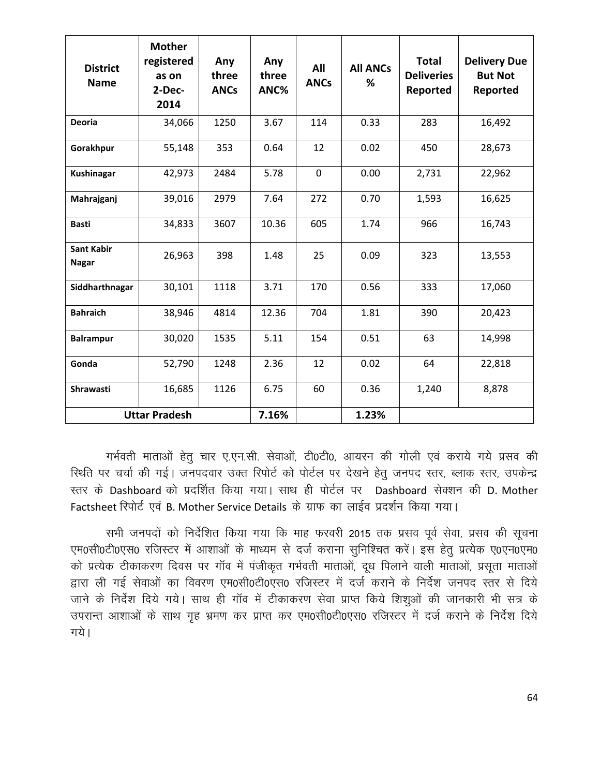| <b>District</b><br><b>Name</b>    | <b>Mother</b><br>registered<br>as on<br>2-Dec-<br>2014 | Any<br>three<br><b>ANCs</b> | Any<br>three<br>ANC% | All<br><b>ANCs</b> | <b>All ANCs</b><br>℅ | <b>Total</b><br><b>Deliveries</b><br>Reported | <b>Delivery Due</b><br><b>But Not</b><br>Reported |
|-----------------------------------|--------------------------------------------------------|-----------------------------|----------------------|--------------------|----------------------|-----------------------------------------------|---------------------------------------------------|
| <b>Deoria</b>                     | 34,066                                                 | 1250                        | 3.67                 | 114                | 0.33                 | 283                                           | 16,492                                            |
| Gorakhpur                         | 55,148                                                 | 353                         | 0.64                 | 12                 | 0.02                 | 450                                           | 28,673                                            |
| Kushinagar                        | 42,973                                                 | 2484                        | 5.78                 | $\mathbf 0$        | 0.00                 | 2,731                                         | 22,962                                            |
| Mahrajganj                        | 39,016                                                 | 2979                        | 7.64                 | 272                | 0.70                 | 1,593                                         | 16,625                                            |
| <b>Basti</b>                      | 34,833                                                 | 3607                        | 10.36                | 605                | 1.74                 | 966                                           | 16,743                                            |
| <b>Sant Kabir</b><br><b>Nagar</b> | 26,963                                                 | 398                         | 1.48                 | 25                 | 0.09                 | 323                                           | 13,553                                            |
| Siddharthnagar                    | 30,101                                                 | 1118                        | 3.71                 | 170                | 0.56                 | 333                                           | 17,060                                            |
| <b>Bahraich</b>                   | 38,946                                                 | 4814                        | 12.36                | 704                | 1.81                 | 390                                           | 20,423                                            |
| <b>Balrampur</b>                  | 30,020                                                 | 1535                        | 5.11                 | 154                | 0.51                 | 63                                            | 14,998                                            |
| Gonda                             | 52,790                                                 | 1248                        | 2.36                 | 12                 | 0.02                 | 64                                            | 22,818                                            |
| Shrawasti                         | 16,685                                                 | 1126                        | 6.75                 | 60                 | 0.36                 | 1,240                                         | 8,878                                             |
| <b>Uttar Pradesh</b>              |                                                        |                             | 7.16%                |                    | 1.23%                |                                               |                                                   |

गर्भवती माताओं हेतू चार ए.एन.सी. सेवाओं, टी0टी0, आयरन की गोली एवं कराये गये प्रसव की स्थिति पर चर्चा की गई। जनपदवार उक्त रिपोर्ट को पोर्टल पर देखने हेतु जनपद स्तर, ब्लाक स्तर, उपकेन्द्र रतर के Dashboard को प्रदर्शित किया गया। साथ ही पोर्टल पर Dashboard सेक्शन की D. Mother Factsheet रिपोर्ट एवं B. Mother Service Details के ग्राफ का लाईव प्रदर्शन किया गया।

सभी जनपदों को निर्देशित किया गया कि माह फरवरी 2015 तक प्रसव पूर्व सेवा, प्रसव की सूचना एम0सी0टी0एस0 रजिस्टर में आशाओं के माध्यम से दर्ज कराना सुनिश्चित करें। इस हेतू प्रत्येक ए0एन0एम0 को प्रत्येक टीकाकरण दिवस पर गॉव में पंजीकृत गर्भवती माताओं, दुध पिलाने वाली माताओं, प्रसुता माताओं द्वारा ली गई सेवाओं का विवरण एम0सी0टी0एस0 रजिस्टर में दर्ज कराने के निर्देश जनपद स्तर से दिये जाने के निर्देश दिये गये। साथ ही गॉव में टीकाकरण सेवा प्राप्त किये शिशुओं की जानकारी भी सत्र के उपरान्त आशाओं के साथ गृह भ्रमण कर प्राप्त कर एम0सी0टी0एस0 रजिस्टर में दर्ज कराने के निर्देश दिये गये।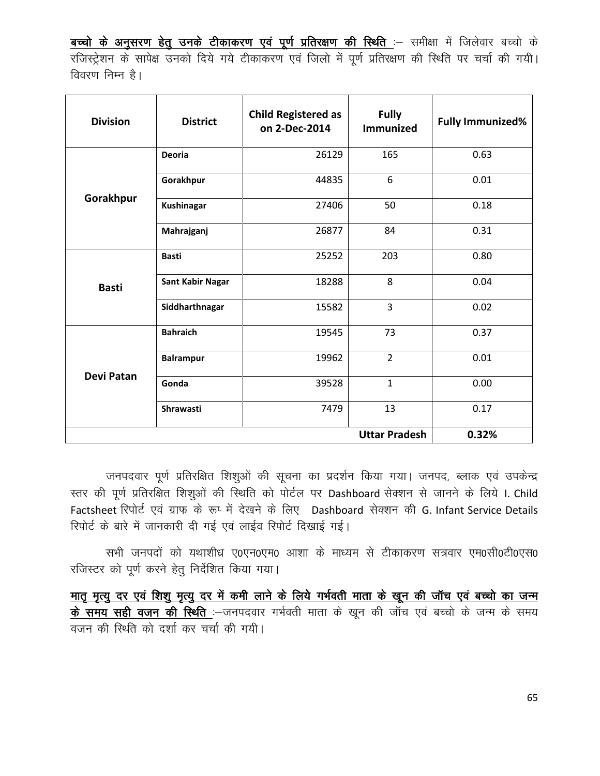बच्चो के अनुसरण हेतु उनके टीकाकरण एवं पूर्ण प्रतिरक्षण की स्थिति :- समीक्षा में जिलेवार बच्चो के रजिस्ट्रेशन के सापेक्ष उनको दिये गये टीकाकरण एवं जिलो में पूर्ण प्रतिरक्षण की स्थिति पर चर्चा की गयी। विवरण निम्न है।

| <b>Division</b>   | <b>District</b>         | <b>Child Registered as</b><br>on 2-Dec-2014 | <b>Fully</b><br><b>Immunized</b> | <b>Fully Immunized%</b> |
|-------------------|-------------------------|---------------------------------------------|----------------------------------|-------------------------|
|                   | <b>Deoria</b>           | 26129                                       | 165                              | 0.63                    |
|                   | Gorakhpur               | 44835                                       | 6                                | 0.01                    |
| Gorakhpur         | <b>Kushinagar</b>       | 27406                                       | 50                               | 0.18                    |
|                   | Mahrajganj              | 26877                                       | 84                               | 0.31                    |
|                   | <b>Basti</b>            | 25252                                       | 203                              | 0.80                    |
| <b>Basti</b>      | <b>Sant Kabir Nagar</b> | 18288                                       | 8                                | 0.04                    |
|                   | Siddharthnagar          | 15582                                       | 3                                | 0.02                    |
|                   | <b>Bahraich</b>         | 19545                                       | 73                               | 0.37                    |
| <b>Devi Patan</b> | <b>Balrampur</b>        | 19962                                       | $\overline{2}$                   | 0.01                    |
|                   | Gonda                   | 39528                                       | $\mathbf{1}$                     | 0.00                    |
|                   | <b>Shrawasti</b>        | 7479                                        | 13                               | 0.17                    |
|                   |                         |                                             | <b>Uttar Pradesh</b>             | 0.32%                   |

जनपदवार पूर्ण प्रतिरक्षित शिशुओं की सूचना का प्रदर्शन किया गया। जनपद, ब्लाक एवं उपकेन्द्र स्तर की पूर्ण प्रतिरक्षित शिशुओं की स्थिति को पोर्टल पर Dashboard सेक्शन से जानने के लिये I. Child Factsheet रिपोर्ट एवं ग्राफ के रूप्सें देखने के लिए Dashboard सेक्शन की G. Infant Service Details रिपोर्ट के बारे में जानकारी दी गई एवं लाईव रिपोर्ट दिखाई गई।

सभी जनपदों को यथाशीध्र ए0एन0एम0 आशा के माध्यम से टीकाकरण सत्रवार एम0सी0टी0एस0 रजिस्टर को पूर्ण करने हेतु निर्देशित किया गया।

मातृ मृत्यु दर एवं शिशु मृत्यु दर में कमी लाने के लिये गर्भवती माता के खून की जॉच एवं बच्चो का जन्म के समय सही वजन की स्थिति :-जनपदवार गर्भवती माता के खून की जाँच एवं बच्चो के जन्म के समय वजन की स्थिति को दर्शा कर चर्चा की गयी।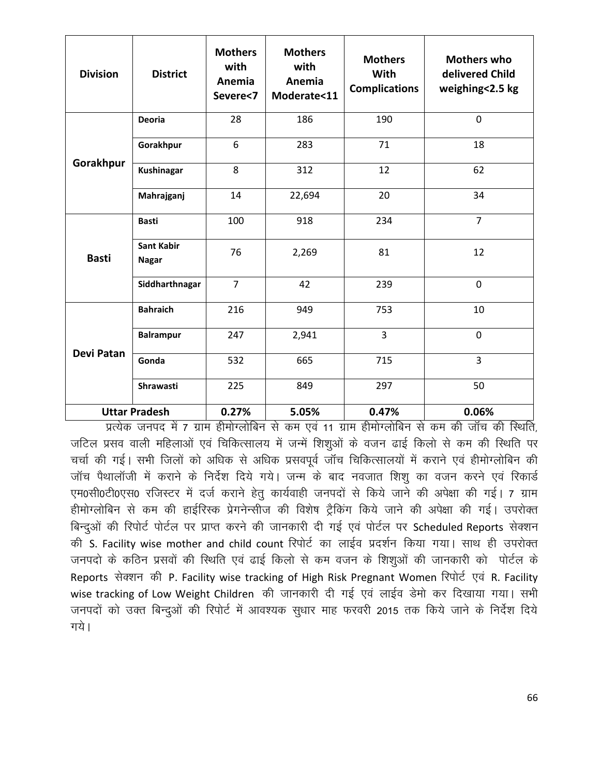| <b>Division</b>   | <b>District</b>                   | <b>Mothers</b><br>with<br>Anemia<br>Severe<7 | <b>Mothers</b><br>with<br>Anemia<br>Moderate<11 | <b>Mothers</b><br>With<br><b>Complications</b> | <b>Mothers who</b><br>delivered Child<br>weighing<2.5 kg |
|-------------------|-----------------------------------|----------------------------------------------|-------------------------------------------------|------------------------------------------------|----------------------------------------------------------|
|                   | <b>Deoria</b>                     | 28                                           | 186                                             | 190                                            | $\mathbf 0$                                              |
|                   | Gorakhpur                         | 6                                            | 283                                             | 71                                             | 18                                                       |
| Gorakhpur         | <b>Kushinagar</b>                 | 8                                            | 312                                             | 12                                             | 62                                                       |
|                   | Mahrajganj                        | 14                                           | 22,694                                          | 20                                             | 34                                                       |
| <b>Basti</b>      | <b>Basti</b>                      | 100                                          | 918                                             | 234                                            | $\overline{7}$                                           |
|                   | <b>Sant Kabir</b><br><b>Nagar</b> | 76                                           | 2,269                                           | 81                                             | 12                                                       |
|                   | Siddharthnagar                    | $\overline{7}$                               | 42                                              | 239                                            | $\mathbf 0$                                              |
| <b>Devi Patan</b> | <b>Bahraich</b>                   | 216                                          | 949                                             | 753                                            | 10                                                       |
|                   | <b>Balrampur</b>                  | 247                                          | 2,941                                           | $\overline{3}$                                 | $\mathbf 0$                                              |
|                   | Gonda                             | 532                                          | 665                                             | 715                                            | 3                                                        |
|                   | Shrawasti                         | 225                                          | 849                                             | 297                                            | 50                                                       |
|                   | <b>Uttar Pradesh</b>              | 0.27%                                        | 5.05%                                           | 0.47%                                          | 0.06%                                                    |

प्रत्येक जनपद में 7 ग्राम हीमोग्लोबिन से कम एवं 11 ग्राम हीमोग्लोबिन से कम की जॉच की स्थिति. जटिल प्रसव वाली महिलाओं एवं चिकित्सालय में जन्में शिश्ओं के वजन ढाई किलो से कम की स्थिति पर चर्चा की गई। सभी जिलों को अधिक से अधिक प्रसवपूर्व जॉच चिकित्सालयों में कराने एवं हीमोग्लोबिन की जॉच पैथालॉजी में कराने के निर्देश दिये गये। जन्म के बाद नवजात शिशू का वजन करने एवं रिकार्ड एम0सी0टी0एस0 रजिस्टर में दर्ज कराने हेतू कार्यवाही जनपदों से किये जाने की अपेक्षा की गई। 7 ग्राम हीमोग्लोबिन से कम की हाईरिस्क प्रेगनेन्सीज की विशेष ट्रैकिंग किये जाने की अपेक्षा की गई। उपरोक्त बिन्दुओं की रिपोर्ट पोर्टल पर प्राप्त करने की जानकारी दी गई एवं पोर्टल पर Scheduled Reports सेक्शन की S. Facility wise mother and child count रिपोर्ट का लाईव प्रदर्शन किया गया। साथ ही उपरोक्त जनपदो के कठिन प्रसवों की स्थिति एवं ढाई किलो से कम वजन के शिशुओं की जानकारी को पोर्टल के Reports सेक्शन की P. Facility wise tracking of High Risk Pregnant Women रिपोर्ट एवं R. Facility wise tracking of Low Weight Children की जानकारी दी गई एवं लाईव डेमो कर दिखाया गया। सभी जनपदों को उक्त बिन्दुओं की रिपोर्ट में आवश्यक सुधार माह फरवरी 2015 तक किये जाने के निर्देश दिये गये।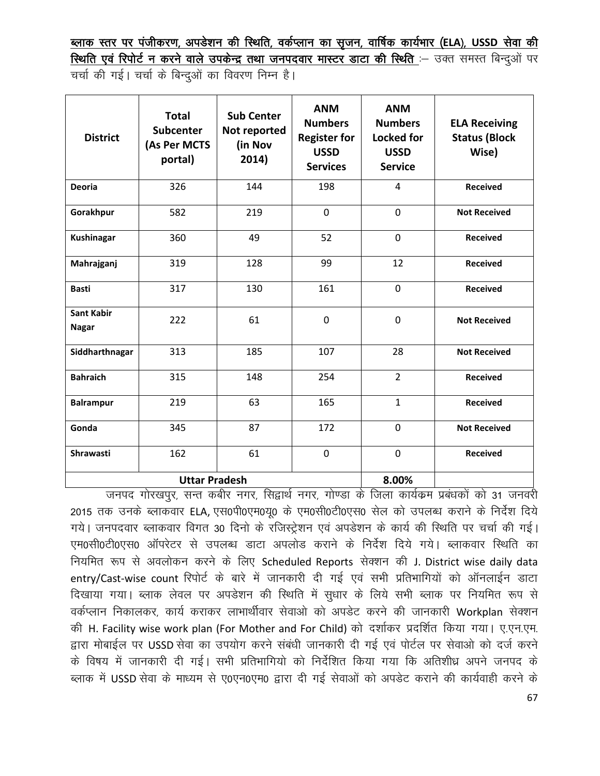<u>ब्लाक स्तर पर पंजीकरण, अपडेशन की स्थिति, वर्कप्लान का सृजन, वार्षिक कार्यभार (ELA), USSD सेवा की</u> **स्थिति एवं रिपोर्ट न करने वाले उपकेन्द्र तथा जनपदवार मास्टर डाटा की स्थिति :- उक्त समस्त बिन्दुओं पर** चर्चा की गई। चर्चा के बिन्दुओं का विवरण निम्न है।

| <b>District</b>                   | <b>Total</b><br><b>Subcenter</b><br>(As Per MCTS<br>portal) | <b>Sub Center</b><br>Not reported<br>(in Nov<br>2014) | <b>ANM</b><br><b>Numbers</b><br><b>Register for</b><br><b>USSD</b><br><b>Services</b> | <b>ANM</b><br><b>Numbers</b><br><b>Locked for</b><br><b>USSD</b><br><b>Service</b> | <b>ELA Receiving</b><br><b>Status (Block</b><br>Wise) |
|-----------------------------------|-------------------------------------------------------------|-------------------------------------------------------|---------------------------------------------------------------------------------------|------------------------------------------------------------------------------------|-------------------------------------------------------|
| <b>Deoria</b>                     | 326                                                         | 144                                                   | 198                                                                                   | 4                                                                                  | <b>Received</b>                                       |
| Gorakhpur                         | 582                                                         | 219                                                   | $\mathbf 0$                                                                           | $\overline{0}$                                                                     | <b>Not Received</b>                                   |
| <b>Kushinagar</b>                 | 360                                                         | 49                                                    | 52                                                                                    | $\mathbf 0$                                                                        | <b>Received</b>                                       |
| Mahrajganj                        | 319                                                         | 128                                                   | 99                                                                                    | 12                                                                                 | <b>Received</b>                                       |
| <b>Basti</b>                      | 317                                                         | 130                                                   | 161                                                                                   | $\mathbf 0$                                                                        | <b>Received</b>                                       |
| <b>Sant Kabir</b><br><b>Nagar</b> | 222                                                         | 61                                                    | $\overline{0}$                                                                        | $\overline{0}$                                                                     | <b>Not Received</b>                                   |
| Siddharthnagar                    | 313                                                         | 185                                                   | 107                                                                                   | 28                                                                                 | <b>Not Received</b>                                   |
| <b>Bahraich</b>                   | 315                                                         | 148                                                   | 254                                                                                   | $\overline{2}$                                                                     | <b>Received</b>                                       |
| <b>Balrampur</b>                  | 219                                                         | 63                                                    | 165                                                                                   | $\mathbf{1}$                                                                       | <b>Received</b>                                       |
| Gonda                             | 345                                                         | 87                                                    | 172                                                                                   | $\mathbf 0$                                                                        | <b>Not Received</b>                                   |
| Shrawasti                         | 162                                                         | 61                                                    | $\mathbf 0$                                                                           | 0                                                                                  | <b>Received</b>                                       |
|                                   | <b>Uttar Pradesh</b>                                        |                                                       | 8.00%                                                                                 |                                                                                    |                                                       |

जनपद गोरखपुर, सन्त कबीर नगर, सिद्वार्थ नगर, गोण्डा के जिला कार्यकम प्रबंधकों को 31 जनवरी 2015 तक उनके ब्लाकवार ELA, एस0पी0एम0यू0 के एम0सी0टी0एस0 सेल को उपलब्ध कराने के निर्देश दिये गये। जनपदवार ब्लाकवार विगत 30 दिनो के रजिस्ट्रेशन एवं अपडेशन के कार्य की स्थिति पर चर्चा की गई। एम0सी0टी0एस0 ऑपरेटर से उपलब्ध डाटा अपलोड कराने के निर्देश दिये गये। ब्लाकवार स्थिति का नियमित रूप से अवलोकन करने के लिए Scheduled Reports सेक्शन की J. District wise daily data entry/Cast-wise count रिपोर्ट के बारे में जानकारी दी गई एवं सभी प्रतिभागियों को ऑनलाईन डाटा दिखाया गया। ब्लाक लेवल पर अपडेशन की स्थिति में सुधार के लिये सभी ब्लाक पर नियमित रूप से वर्कप्लान निकालकर, कार्य कराकर लाभार्थीवार सेवाओ को अपडेट करने की जानकारी Workplan सेक्शन की H. Facility wise work plan (For Mother and For Child) को दर्शाकर प्रदर्शित किया गया। ए.एन.एम. kik elik eksched die postal tekschede de region in the fission in the cost de region that the region of the po<br>In the vie die vil de vide and the region of the region of the post of the region of the vil and the vil and t के विषय में जानकारी दी गई। सभी प्रतिभागियो को निर्देशित किया गया कि अतिशीध्र अपने जनपद के ब्लाक में USSD सेवा के माध्यम से ए0एन0एम0 द्वारा दी गई सेवाओं को अपडेट कराने की कार्यवाही करने के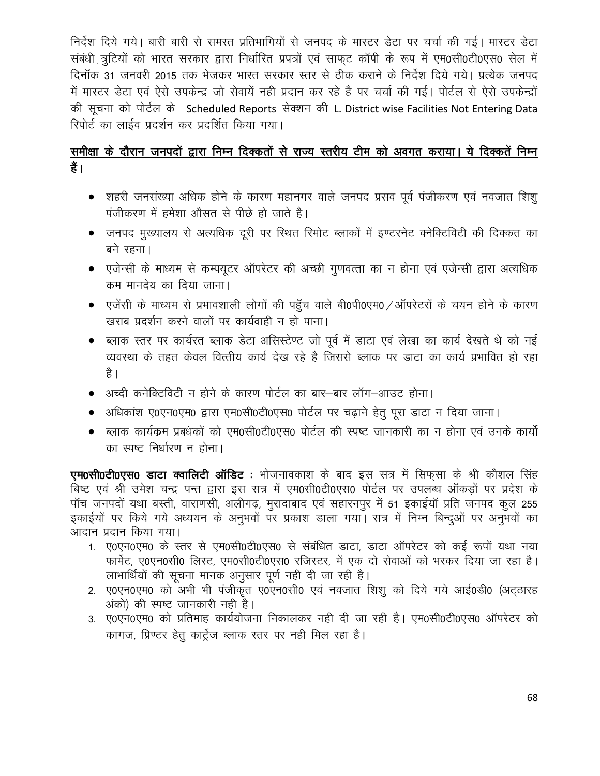निर्देश दिये गये। बारी बारी से समस्त प्रतिभागियों से जनपद के मास्टर डेटा पर चर्चा की गई। मास्टर डेटा संबंधी त्रूटियों को भारत सरकार द्वारा निर्धारित प्रपत्रों एवं साफट कॉपी के रूप में एम0सी0टी0एस0 सेल में दिनॉक 31 जनवरी 2015 तक भेजकर भारत सरकार स्तर से ठीक कराने के निर्देश दिये गये। प्रत्येक जनपद में मास्टर डेटा एवं ऐसे उपकेन्द्र जो सेवायें नहीं प्रदान कर रहे है पर चर्चा की गई। पोर्टल से ऐसे उपकेन्द्रों की सूचना को पोर्टल के Scheduled Reports सेक्शन की L. District wise Facilities Not Entering Data रिपोर्ट का लाईव प्रदर्शन कर प्रदर्शित किया गया।

# समीक्षा के दौरान जनपदों द्वारा निम्न दिक्कतों से राज्य स्तरीय टीम को अवगत कराया। ये दिक्कतें निम्न हैं।

- शहरी जनसंख्या अधिक होने के कारण महानगर वाले जनपद प्रसव पूर्व पंजीकरण एवं नवजात शिशू पंजीकरण में हमेशा औसत से पीछे हो जाते है।
- जनपद मुख्यालय से अत्यधिक दूरी पर स्थित रिमोट ब्लाकों में इण्टरनेट क्नेक्टिविटी की दिक्कत का बने रहना।
- एजेन्सी के माध्यम से कम्पयूटर ऑपरेटर की अच्छी गुणवत्ता का न होना एवं एजेन्सी द्वारा अत्यधिक कम मानदेय का दिया जाना।
- एजेंसी के माध्यम से प्रभावशाली लोगों की पहुँच वाले बी0पी0एम0 /ऑपरेटरों के चयन होने के कारण खराब प्रदर्शन करने वालों पर कार्यवाही न हो पाना।
- ब्लाक स्तर पर कार्यरत ब्लाक डेटा असिस्टेण्ट जो पूर्व में डाटा एवं लेखा का कार्य देखते थे को नई व्यवस्था के तहत केवल वित्तीय कार्य देख रहे है जिससे ब्लाक पर डाटा का कार्य प्रभावित हो रहा है ।
- अच्दी कनेक्टिविटी न होने के कारण पोर्टल का बार—बार लॉग—आउट होना।
- अधिकांश ए0एन0एम0 द्वारा एम0सी0टी0एस0 पोर्टल पर चढ़ाने हेतु पूरा डाटा न दिया जाना।
- ब्लाक कार्यक्रम प्रबधकों को एम0सी0टी0एस0 पोर्टल की स्पष्ट जानकारी का न होना एवं उनके कार्यो का स्पष्ट निर्धारण न होना।

एम0सी0टी0एस0 डाटा क्वालिटी ऑडिट : भोजनावकाश के बाद इस सत्र में सिफसा के श्री कौशल सिंह बिष्ट एवं श्री उमेश चन्द्र पन्त द्वारा इस सत्र में एम0सी0टी0एस0 पोर्टल पर उपलब्ध ऑकड़ों पर प्रदेश के पॉच जनपदों यथा बस्ती, वाराणसी, अलीगढ़, मुरादाबाद एवं सहारनपुर में 51 इकाईयॉ प्रति जनपद कुल 255 इकाईयों पर किये गये अध्ययन के अनुभवों पर प्रकाश डाला गया। सत्र में निम्न बिन्दुओं पर अनुभवों का आदान प्रदान किया गया।

- 1. ए0एन0एम0 के स्तर से एम0सी0टी0एस0 से संबंधित डाटा, डाटा ऑपरेटर को कई रूपों यथा नया फार्मेट, ए0एन0सी0 लिस्ट, एम0सी0टी0एस0 रजिस्टर, में एक दो सेवाओं को भरकर दिया जा रहा है। लाभार्थियों की सूचना मानक अनुसार पूर्ण नही दी जा रही है।
- 2. ए0एन0एम0 को अभी भी पंजीकृत ए0एन0सी0 एवं नवजात शिशु को दिये गये आई0डी0 (अटठारह अंको) की स्पष्ट जानकारी नही है।
- 3. ए0एन0एम0 को प्रतिमाह कार्ययोजना निकालकर नही दी जा रही है। एम0सी0टी0एस0 ऑपरेटर को कागज, प्रिण्टर हेतु कार्ट्रेज ब्लाक स्तर पर नही मिल रहा है।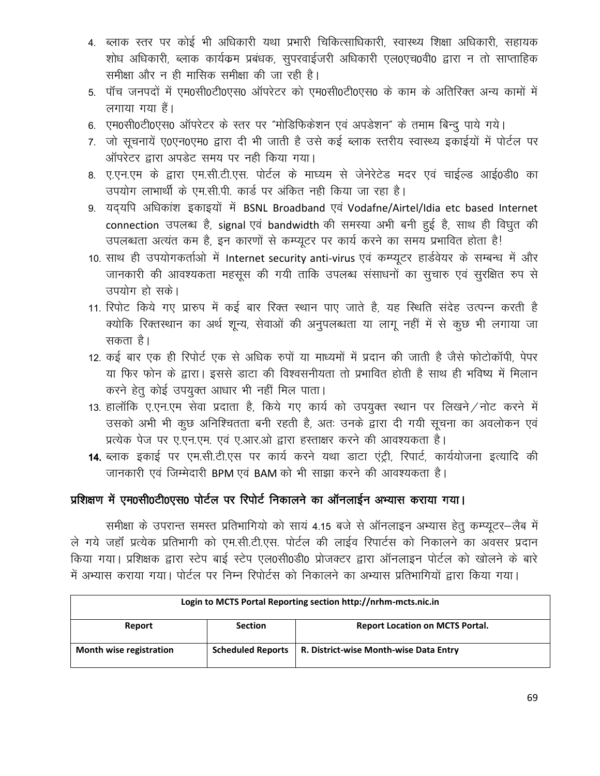- 4. ब्लाक स्तर पर कोई भी अधिकारी यथा प्रभारी चिकित्साधिकारी, स्वास्थ्य शिक्षा अधिकारी, सहायक शोध अधिकारी, ब्लाक कार्यक्रम प्रबंधक, सुपरवाईजरी अधिकारी एल0एच0वी0 द्वारा न तो साप्ताहिक समीक्षा और न ही मासिक समीक्षा की जा रही है।
- 5. पॉच जनपदों में एम0सी0टी0एस0 ऑपरेटर को एम0सी0टी0एस0 के काम के अतिरिक्त अन्य कामों में लगाया गया हैं।
- 6. एम0सी0टी0एस0 ऑपरेटर के स्तर पर "मोडिफिकेशन एवं अपडेशन" के तमाम बिन्दू पाये गये।
- 7. जो सूचनायें ए0एन0एम0 द्वारा दी भी जाती है उसे कई ब्लाक स्तरीय स्वास्थ्य इकाईयों में पोर्टल पर ऑपरेटर द्वारा अपडेट समय पर नही किया गया।
- 8. ए.एन.एम के द्वारा एम.सी.टी.एस. पोर्टल के माघ्यम से जेनेरेटेड मदर एवं चाईल्ड आई0डी0 का उपयोग लाभार्थी के एम.सी.पी. कार्ड पर अंकित नही किया जा रहा है।
- 9. यदयपि अधिकांश इकाइयों में BSNL Broadband एवं Vodafne/Airtel/Idia etc based Internet connection उपलब्ध है, signal एवं bandwidth की समस्या अभी बनी हुई है, साथ ही विघुत की उपलब्धता अत्यंत कम है, इन कारणों से कम्प्यूटर पर कार्य करने का समय प्रभावित होता है!
- 10. साथ ही उपयोगकर्ताओं में Internet security anti-virus एवं कम्प्यूटर हार्डवेयर के सम्बन्ध में और जानकारी की आवश्यकता महसूस की गयी ताकि उपलब्ध संसाधनों का सूचारु एवं सुरक्षित रुप से उपयोग हो सके।
- 11. रिपोट किये गए प्रारुप में कई बार रिक्त स्थान पाए जाते है, यह स्थिति संदेह उत्पन्न करती है क्योकि रिक्तस्थान का अर्थ शून्य, सेवाओं की अनुपलब्धता या लागू नहीं में से कूछ भी लगाया जा सकता है।
- 12. कई बार एक ही रिपोर्ट एक से अधिक रुपों या माध्यमों में प्रदान की जाती है जैसे फोटोकॉपी, पेपर या फिर फोन के द्वारा। इससे डाटा की विश्वसनीयता तो प्रभावित होती है साथ ही भविष्य में मिलान करने हेतु कोई उपयुक्त आधार भी नहीं मिल पाता।
- 13. हालाँकि ए.एन.एम सेवा प्रदाता है, किये गए कार्य को उपयुक्त स्थान पर लिखने / नोट करने में उसको अभी भी कूछ अनिश्चितता बनी रहती है, अतः उनके द्वारा दी गयी सूचना का अवलोकन एवं प्रत्येक पेज पर ए.एन.एम. एवं ए.आर.ओ द्वारा हस्ताक्षर करने की आवश्यकता है।
- 14. ब्लाक इकाई पर एम.सी.टी.एस पर कार्य करने यथा डाटा एंट्री, रिपार्ट, कार्ययोजना इत्यादि की जानकारी एवं जिम्मेदारी BPM एवं BAM को भी साझा करने की आवश्यकता है।

# प्रशिक्षण में एम0सी0टी0एस0 पोर्टल पर रिपोर्ट निकालने का ऑनलाईन अभ्यास कराया गया।

समीक्षा के उपरान्त समस्त प्रतिभागियो को सायं 4.15 बजे से ऑनलाइन अभ्यास हेतु कम्प्यूटर-लैब में ले गये जहाँ प्रत्येक प्रतिभागी को एम.सी.टी.एस. पोर्टल की लाईव रिपार्टस को निकालने का अवसर प्रदान किया गया। प्रशिक्षक द्वारा स्टेप बाई स्टेप एल0सी0डी0 प्रोजक्टर द्वारा ऑनलाइन पोर्टल को खोलने के बारे में अभ्यास कराया गया। पोर्टल पर निम्न रिपोर्टस को निकालने का अभ्यास प्रतिभागियों द्वारा किया गया।

| Login to MCTS Portal Reporting section http://nrhm-mcts.nic.in |                          |                                        |  |  |
|----------------------------------------------------------------|--------------------------|----------------------------------------|--|--|
| Report                                                         | <b>Section</b>           | <b>Report Location on MCTS Portal.</b> |  |  |
| Month wise registration                                        | <b>Scheduled Reports</b> | R. District-wise Month-wise Data Entry |  |  |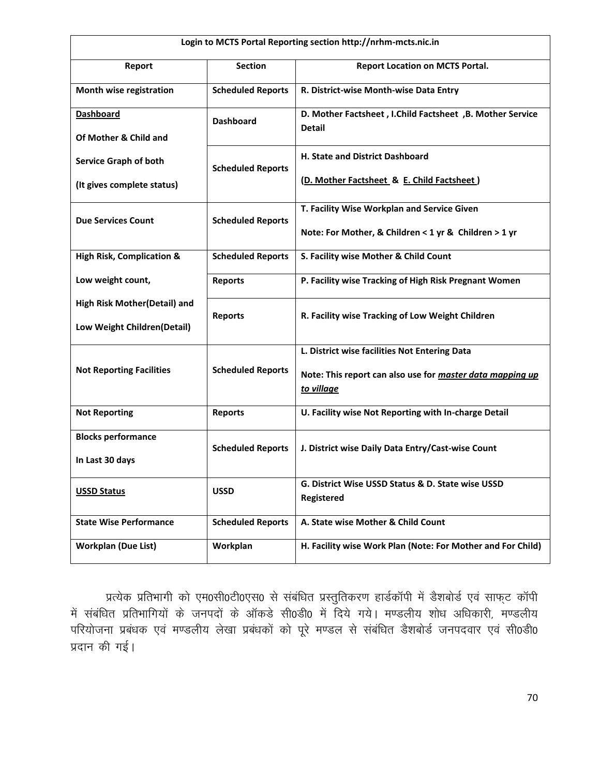| Login to MCTS Portal Reporting section http://nrhm-mcts.nic.in |                          |                                                                                                                          |  |  |
|----------------------------------------------------------------|--------------------------|--------------------------------------------------------------------------------------------------------------------------|--|--|
| Report                                                         | <b>Section</b>           | <b>Report Location on MCTS Portal.</b>                                                                                   |  |  |
| Month wise registration                                        | <b>Scheduled Reports</b> | R. District-wise Month-wise Data Entry                                                                                   |  |  |
| <b>Dashboard</b><br>Of Mother & Child and                      | <b>Dashboard</b>         | D. Mother Factsheet, I.Child Factsheet, B. Mother Service<br><b>Detail</b>                                               |  |  |
| <b>Service Graph of both</b>                                   | <b>Scheduled Reports</b> | H. State and District Dashboard                                                                                          |  |  |
| (It gives complete status)                                     |                          | (D. Mother Factsheet & E. Child Factsheet)                                                                               |  |  |
| <b>Due Services Count</b>                                      | <b>Scheduled Reports</b> | T. Facility Wise Workplan and Service Given                                                                              |  |  |
|                                                                |                          | Note: For Mother, & Children < 1 yr & Children > 1 yr                                                                    |  |  |
| <b>High Risk, Complication &amp;</b>                           | <b>Scheduled Reports</b> | S. Facility wise Mother & Child Count                                                                                    |  |  |
| Low weight count,                                              | <b>Reports</b>           | P. Facility wise Tracking of High Risk Pregnant Women                                                                    |  |  |
| High Risk Mother(Detail) and<br>Low Weight Children(Detail)    | <b>Reports</b>           | R. Facility wise Tracking of Low Weight Children                                                                         |  |  |
| <b>Not Reporting Facilities</b>                                | <b>Scheduled Reports</b> | L. District wise facilities Not Entering Data<br>Note: This report can also use for master data mapping up<br>to village |  |  |
| <b>Not Reporting</b>                                           | <b>Reports</b>           | U. Facility wise Not Reporting with In-charge Detail                                                                     |  |  |
| <b>Blocks performance</b><br>In Last 30 days                   | <b>Scheduled Reports</b> | J. District wise Daily Data Entry/Cast-wise Count                                                                        |  |  |
| <b>USSD Status</b>                                             | <b>USSD</b>              | G. District Wise USSD Status & D. State wise USSD<br><b>Registered</b>                                                   |  |  |
| <b>State Wise Performance</b>                                  | <b>Scheduled Reports</b> | A. State wise Mother & Child Count                                                                                       |  |  |
| <b>Workplan (Due List)</b>                                     | Workplan                 | H. Facility wise Work Plan (Note: For Mother and For Child)                                                              |  |  |

प्रत्येक प्रतिभागी को एम0सी0टी0एस0 से संबंधित प्रस्तुतिकरण हार्डकॉपी में डैशबोर्ड एवं साफ्ट कॉपी में संबंधित प्रतिभागियों के जनपदों के ऑकडे सी0डी0 में दिये गये। मण्डलीय शोध अधिकारी, मण्डलीय परियोजना प्रबंधक एवं मण्डलीय लेखा प्रबंधकों को पूरे मण्डल से संबंधित डैशबोर्ड जनपदवार एवं सी0डी0 प्रदान की गई।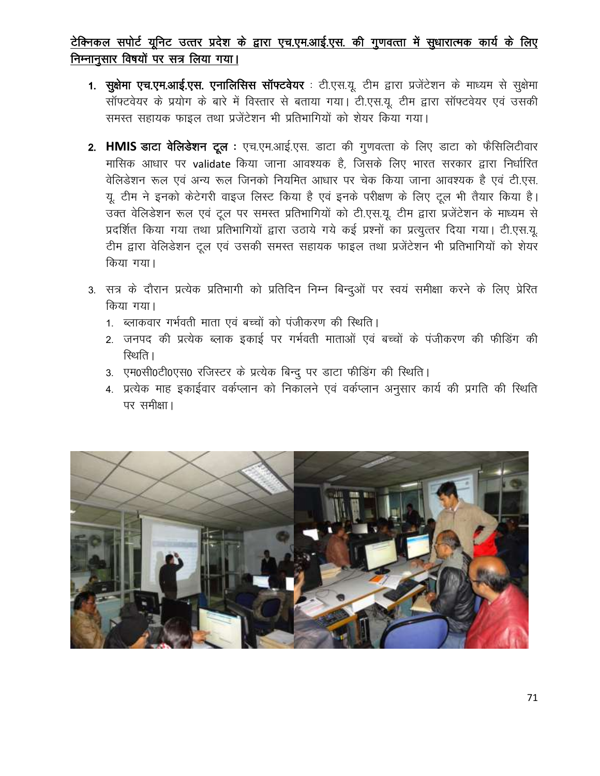# टेक्निकल सपोर्ट यूनिट उत्तर प्रदेश के द्वारा एच.एम.आई.एस. की गुणवत्ता में सुधारात्मक कार्य के लिए निम्नानूसार विषयों पर सत्र लिया गया।

- 1. सूक्षेमा एच.एम.आई.एस. एनालिसिस सॉफ्टवेयर : टी.एस.यू. टीम द्वारा प्रजेंटेशन के माध्यम से सूक्षेमा सॉफ्टवेयर के प्रयोग के बारे में विस्तार से बताया गया। टी.एस.यू. टीम द्वारा सॉफ्टवेयर एवं उसकी समस्त सहायक फाइल तथा प्रजेंटेशन भी प्रतिभागियों को शेयर किया गया।
- 2. HMIS डाटा वेलिडेशन टूल : एच.एम.आई.एस. डाटा की गुणवत्ता के लिए डाटा को फैसिलिटीवार मासिक आधार पर validate किया जाना आवश्यक है, जिसके लिए भारत सरकार द्वारा निर्धारित वेलिडेशन रूल एवं अन्य रूल जिनको नियमित आधार पर चेक किया जाना आवश्यक है एवं टी.एस. यू. टीम ने इनको केटेगरी वाइज लिस्ट किया है एवं इनके परीक्षण के लिए टूल भी तैयार किया है। उक्त वेलिडेशन रूल एवं टूल पर समस्त प्रतिभागियों को टी.एस.यू. टीम द्वारा प्रजेंटेशन के माध्यम से प्रदर्शित किया गया तथा प्रतिभागियों द्वारा उठाये गये कई प्रश्नों का प्रत्युत्तर दिया गया। टी.एस.यू. टीम द्वारा वेलिडेशन टूल एवं उसकी समस्त सहायक फाइल तथा प्रजेंटेशन भी प्रतिभागियों को शेयर किया गया।
- 3. सत्र के दौरान प्रत्येक प्रतिभागी को प्रतिदिन निम्न बिन्दुओं पर स्वयं समीक्षा करने के लिए प्रेरित किया गया।
	- 1. ब्लाकवार गर्भवती माता एवं बच्चों को पंजीकरण की स्थिति।
	- 2. जनपद की प्रत्येक ब्लाक इकाई पर गर्भवती माताओं एवं बच्चों के पंजीकरण की फीडिंग की रिथति ।
	- 3. एम0सी0टी0एस0 रजिस्टर के प्रत्येक बिन्दु पर डाटा फीडिंग की स्थिति।
	- 4. प्रत्येक माह इकाईवार वर्कप्लान को निकालने एवं वर्कप्लान अनुसार कार्य की प्रगति की स्थिति पर समीक्षा।